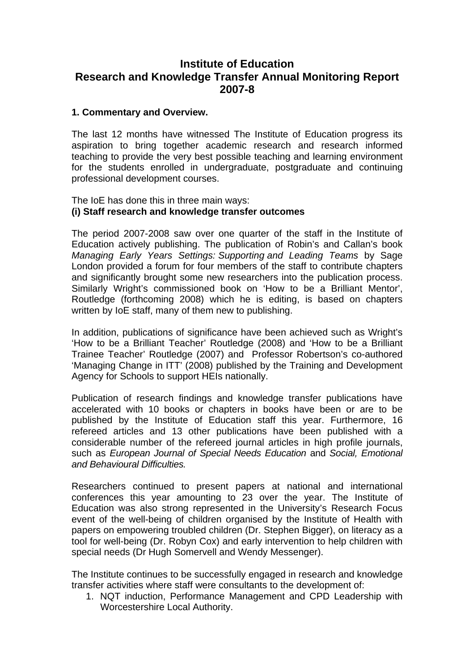# **Institute of Education Research and Knowledge Transfer Annual Monitoring Report 2007-8**

### **1. Commentary and Overview.**

The last 12 months have witnessed The Institute of Education progress its aspiration to bring together academic research and research informed teaching to provide the very best possible teaching and learning environment for the students enrolled in undergraduate, postgraduate and continuing professional development courses.

### The IoE has done this in three main ways: **(i) Staff research and knowledge transfer outcomes**

The period 2007-2008 saw over one quarter of the staff in the Institute of Education actively publishing. The publication of Robin's and Callan's book *Managing Early Years Settings: Supporting and Leading Teams* by Sage London provided a forum for four members of the staff to contribute chapters and significantly brought some new researchers into the publication process. Similarly Wright's commissioned book on 'How to be a Brilliant Mentor', Routledge (forthcoming 2008) which he is editing, is based on chapters written by IoE staff, many of them new to publishing.

In addition, publications of significance have been achieved such as Wright's 'How to be a Brilliant Teacher' Routledge (2008) and 'How to be a Brilliant Trainee Teacher' Routledge (2007) and Professor Robertson's co-authored 'Managing Change in ITT' (2008) published by the Training and Development Agency for Schools to support HEIs nationally.

Publication of research findings and knowledge transfer publications have accelerated with 10 books or chapters in books have been or are to be published by the Institute of Education staff this year. Furthermore, 16 refereed articles and 13 other publications have been published with a considerable number of the refereed journal articles in high profile journals, such as *European Journal of Special Needs Education* and *Social, Emotional and Behavioural Difficulties.* 

Researchers continued to present papers at national and international conferences this year amounting to 23 over the year. The Institute of Education was also strong represented in the University's Research Focus event of the well-being of children organised by the Institute of Health with papers on empowering troubled children (Dr. Stephen Bigger), on literacy as a tool for well-being (Dr. Robyn Cox) and early intervention to help children with special needs (Dr Hugh Somervell and Wendy Messenger).

The Institute continues to be successfully engaged in research and knowledge transfer activities where staff were consultants to the development of:

1. NQT induction, Performance Management and CPD Leadership with Worcestershire Local Authority.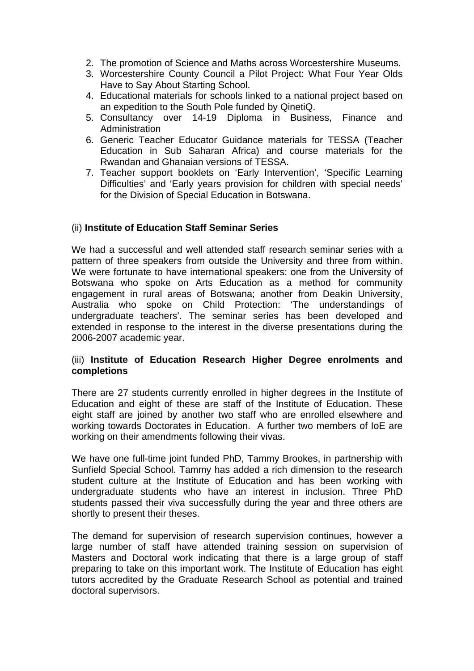- 2. The promotion of Science and Maths across Worcestershire Museums.
- 3. Worcestershire County Council a Pilot Project: What Four Year Olds Have to Say About Starting School.
- 4. Educational materials for schools linked to a national project based on an expedition to the South Pole funded by QinetiQ.
- 5. Consultancy over 14-19 Diploma in Business, Finance and Administration
- 6. Generic Teacher Educator Guidance materials for TESSA (Teacher Education in Sub Saharan Africa) and course materials for the Rwandan and Ghanaian versions of TESSA.
- 7. Teacher support booklets on 'Early Intervention', 'Specific Learning Difficulties' and 'Early years provision for children with special needs' for the Division of Special Education in Botswana.

## (ii) **Institute of Education Staff Seminar Series**

We had a successful and well attended staff research seminar series with a pattern of three speakers from outside the University and three from within. We were fortunate to have international speakers: one from the University of Botswana who spoke on Arts Education as a method for community engagement in rural areas of Botswana; another from Deakin University, Australia who spoke on Child Protection: 'The understandings of undergraduate teachers'. The seminar series has been developed and extended in response to the interest in the diverse presentations during the 2006-2007 academic year.

## (iii) **Institute of Education Research Higher Degree enrolments and completions**

There are 27 students currently enrolled in higher degrees in the Institute of Education and eight of these are staff of the Institute of Education. These eight staff are joined by another two staff who are enrolled elsewhere and working towards Doctorates in Education. A further two members of IoE are working on their amendments following their vivas.

We have one full-time joint funded PhD, Tammy Brookes, in partnership with Sunfield Special School. Tammy has added a rich dimension to the research student culture at the Institute of Education and has been working with undergraduate students who have an interest in inclusion. Three PhD students passed their viva successfully during the year and three others are shortly to present their theses.

The demand for supervision of research supervision continues, however a large number of staff have attended training session on supervision of Masters and Doctoral work indicating that there is a large group of staff preparing to take on this important work. The Institute of Education has eight tutors accredited by the Graduate Research School as potential and trained doctoral supervisors.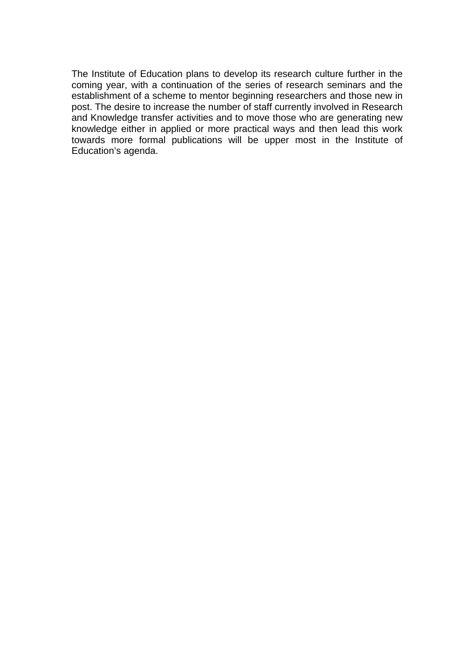The Institute of Education plans to develop its research culture further in the coming year, with a continuation of the series of research seminars and the establishment of a scheme to mentor beginning researchers and those new in post. The desire to increase the number of staff currently involved in Research and Knowledge transfer activities and to move those who are generating new knowledge either in applied or more practical ways and then lead this work towards more formal publications will be upper most in the Institute of Education's agenda.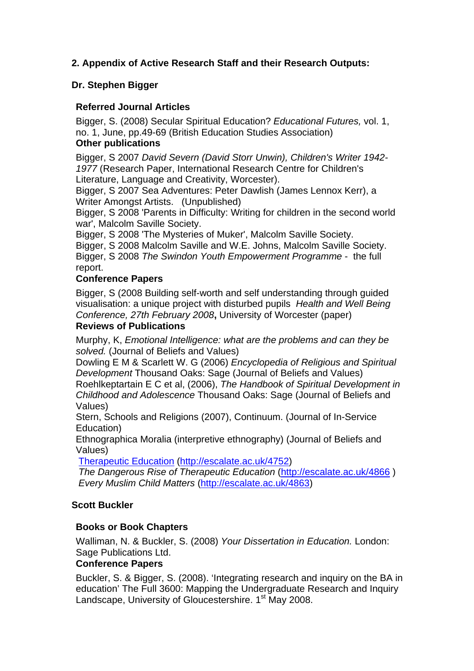# **2. Appendix of Active Research Staff and their Research Outputs:**

# **Dr. Stephen Bigger**

# **Referred Journal Articles**

Bigger, S. (2008) [Secular Spiritual Education?](http://docs.google.com/Doc?id=dgsr8qn6_26grj5nddd) *Educational Futures,* vol. 1, no. 1, June, pp.49-69 (British Education Studies Association) **Other publications** 

Bigger, S 2007 *[David Severn \(David Storr Unwin\), Children's Writer 1942-](http://eprints.worc.ac.uk/236) [1977](http://eprints.worc.ac.uk/236)* (Research Paper, International Research Centre for Children's Literature, Language and Creativity, Worcester).

Bigger, S 2007 [Sea Adventures: Peter Dawlish \(James Lennox Kerr\), a](http://eprints.worc.ac.uk/248)  [Writer Amongst Artists.](http://eprints.worc.ac.uk/248) (Unpublished)

Bigger, S 2008 'Parents in Difficulty: Writing for children in the second world war', Malcolm Saville Society.

Bigger, S 2008 'The Mysteries of Muker', Malcolm Saville Society.

Bigger, S 2008 Malcolm Saville and W.E. Johns, Malcolm Saville Society. Bigger, S 2008 *[The Swindon Youth Empowerment Programme](http://docs.google.com/View?docid=dgsr8qn6_338t4bnnd4)* - [the full](http://eprints.worc.ac.uk/380)  [report.](http://eprints.worc.ac.uk/380)

# **Conference Papers**

Bigger, S (2008 [Building self-worth and self understanding through guided](http://docs.google.com/Doc?id=dgsr8qn6_31c6xcgsft)  [visualisation: a unique project with disturbed pupils](http://docs.google.com/Doc?id=dgsr8qn6_31c6xcgsft) *Health and Well Being Conference, 27th February 2008***,** University of Worcester (paper)

# **Reviews of Publications**

Murphy, K, *[Emotional Intelligence: what are the problems and can they be](http://eprints.worc.ac.uk/63)  [solved.](http://eprints.worc.ac.uk/63)* (Journal of Beliefs and Values)

Dowling E M & Scarlett W. G (2006) *[Encyclopedia of Religious and Spiritual](http://eprints.worc.ac.uk/55)  [Development](http://eprints.worc.ac.uk/55)* Thousand Oaks: Sage (Journal of Beliefs and Values) Roehlkeptartain E C et al, (2006), *[The Handbook of Spiritual Development in](http://docs.google.com/Doc?id=dgsr8qn6_5cktc64)  [Childhood and Adolescence](http://docs.google.com/Doc?id=dgsr8qn6_5cktc64)* Thousand Oaks: Sage (Journal of Beliefs and

Values)

Stern, [Schools and Religions](http://docs.google.com/Doc?id=dgsr8qn6_35g68r4xd8) (2007), Continuum. (Journal of In-Service Education)

[Ethnographica Moralia](http://eprints.worc.ac.uk/456) (interpretive ethnography) (Journal of Beliefs and Values)

[Therapeutic Education](http://eprints.worc.ac.uk/455) [\(http://escalate.ac.uk/4752\)](http://escalate.ac.uk/4752)

*The Dangerous Rise of Therapeutic Education* (<http://escalate.ac.uk/4866> ) *Every Muslim Child Matters* ([http://escalate.ac.uk/4863\)](http://escalate.ac.uk/4863)

# **Scott Buckler**

# **Books or Book Chapters**

Walliman, N. & Buckler, S. (2008) *Your Dissertation in Education.* London: Sage Publications Ltd.

## **Conference Papers**

Buckler, S. & Bigger, S. (2008). 'Integrating research and inquiry on the BA in education' The Full 3600: Mapping the Undergraduate Research and Inquiry Landscape, University of Gloucestershire. 1<sup>st</sup> May 2008.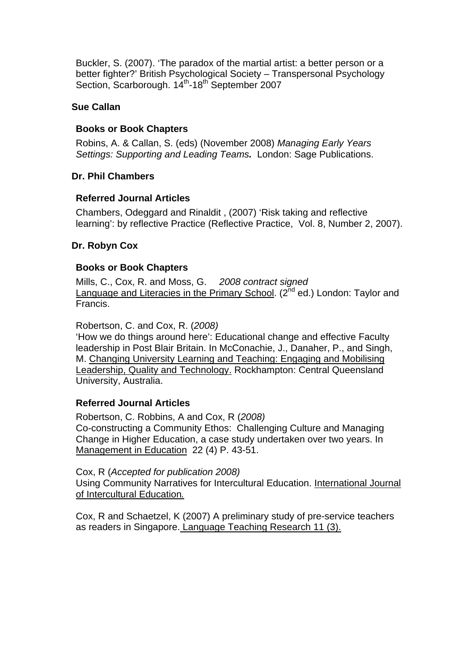Buckler, S. (2007). 'The paradox of the martial artist: a better person or a better fighter?' British Psychological Society – Transpersonal Psychology Section, Scarborough. 14<sup>th</sup>-18<sup>th</sup> September 2007

## **Sue Callan**

# **Books or Book Chapters**

Robins, A. & Callan, S. (eds) (November 2008) *Managing Early Years Settings: Supporting and Leading Teams.* London: Sage Publications.

# **Dr. Phil Chambers**

## **Referred Journal Articles**

Chambers, Odeggard and Rinaldit , (2007) 'Risk taking and reflective learning': by reflective Practice (Reflective Practice, Vol. 8, Number 2, 2007).

# **Dr. Robyn Cox**

# **Books or Book Chapters**

Mills, C., Cox, R. and Moss, G. *2008 contract signed*  Language and Literacies in the Primary School.  $(2^{nd}$  ed.) London: Taylor and Francis.

Robertson, C. and Cox, R. (*2008)* 

'How we do things around here': Educational change and effective Faculty leadership in Post Blair Britain. In McConachie, J., Danaher, P., and Singh, M. Changing University Learning and Teaching: Engaging and Mobilising Leadership, Quality and Technology. Rockhampton: Central Queensland University, Australia.

## **Referred Journal Articles**

Robertson, C. Robbins, A and Cox, R (*2008)*  Co-constructing a Community Ethos: Challenging Culture and Managing Change in Higher Education, a case study undertaken over two years. In Management in Education 22 (4) P. 43-51.

Cox, R (*Accepted for publication 2008)* 

Using Community Narratives for Intercultural Education. International Journal of Intercultural Education*.*

Cox, R and Schaetzel, K (2007) A preliminary study of pre-service teachers as readers in Singapore. Language Teaching Research 11 (3).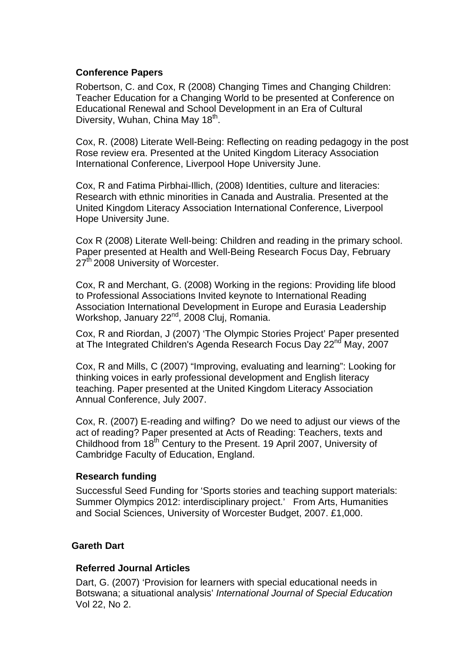## **Conference Papers**

Robertson, C. and Cox, R (2008) Changing Times and Changing Children: Teacher Education for a Changing World to be presented at Conference on Educational Renewal and School Development in an Era of Cultural Diversity, Wuhan, China May 18<sup>th</sup>.

Cox, R. (2008) Literate Well-Being: Reflecting on reading pedagogy in the post Rose review era. Presented at the United Kingdom Literacy Association International Conference, Liverpool Hope University June.

Cox, R and Fatima Pirbhai-Illich, (2008) Identities, culture and literacies: Research with ethnic minorities in Canada and Australia. Presented at the United Kingdom Literacy Association International Conference, Liverpool Hope University June.

Cox R (2008) Literate Well-being: Children and reading in the primary school. Paper presented at Health and Well-Being Research Focus Day, February 27<sup>th</sup> 2008 University of Worcester.

Cox, R and Merchant, G. (2008) Working in the regions: Providing life blood to Professional Associations Invited keynote to International Reading Association International Development in Europe and Eurasia Leadership Workshop, January 22<sup>nd</sup>, 2008 Cluj, Romania.

Cox, R and Riordan, J (2007) 'The Olympic Stories Project' Paper presented at The Integrated Children's Agenda Research Focus Day 22<sup>nd</sup> May, 2007

Cox, R and Mills, C (2007) "Improving, evaluating and learning": Looking for thinking voices in early professional development and English literacy teaching. Paper presented at the United Kingdom Literacy Association Annual Conference, July 2007.

Cox, R. (2007) E-reading and wilfing? Do we need to adjust our views of the act of reading? Paper presented at Acts of Reading: Teachers, texts and Childhood from 18<sup>th</sup> Century to the Present. 19 April 2007, University of Cambridge Faculty of Education, England.

## **Research funding**

Successful Seed Funding for 'Sports stories and teaching support materials: Summer Olympics 2012: interdisciplinary project.' From Arts, Humanities and Social Sciences, University of Worcester Budget, 2007. £1,000.

## **Gareth Dart**

## **Referred Journal Articles**

Dart, G. (2007) 'Provision for learners with special educational needs in Botswana; a situational analysis' *International Journal of Special Education* Vol 22, No 2.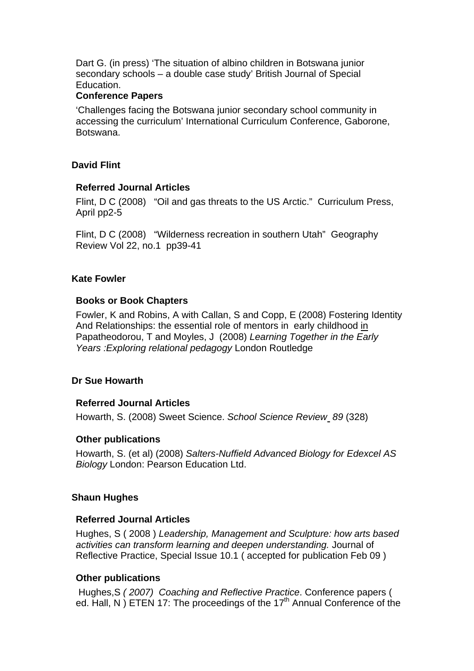Dart G. (in press) 'The situation of albino children in Botswana junior secondary schools – a double case study' British Journal of Special Education.

### **Conference Papers**

'Challenges facing the Botswana junior secondary school community in accessing the curriculum' International Curriculum Conference, Gaborone, Botswana.

### **David Flint**

### **Referred Journal Articles**

Flint, D C (2008) "Oil and gas threats to the US Arctic." Curriculum Press, April pp2-5

Flint, D C (2008) "Wilderness recreation in southern Utah" Geography Review Vol 22, no.1 pp39-41

### **Kate Fowler**

### **Books or Book Chapters**

Fowler, K and Robins, A with Callan, S and Copp, E (2008) Fostering Identity And Relationships: the essential role of mentors in early childhood in Papatheodorou, T and Moyles, J (2008) *Learning Together in the Early Years :Exploring relational pedagogy* London Routledge

## **Dr Sue Howarth**

#### **Referred Journal Articles**

Howarth, S. (2008) Sweet Science. *School Science Review 89* (328)

## **Other publications**

Howarth, S. (et al) (2008) *Salters-Nuffield Advanced Biology for Edexcel AS Biology* London: Pearson Education Ltd.

#### **Shaun Hughes**

#### **Referred Journal Articles**

Hughes, S ( 2008 ) *Leadership, Management and Sculpture: how arts based activities can transform learning and deepen understanding.* Journal of Reflective Practice, Special Issue 10.1 ( accepted for publication Feb 09 )

## **Other publications**

Hughes,S *( 2007) Coaching and Reflective Practice*. Conference papers ( ed. Hall, N) ETEN 17: The proceedings of the 17<sup>th</sup> Annual Conference of the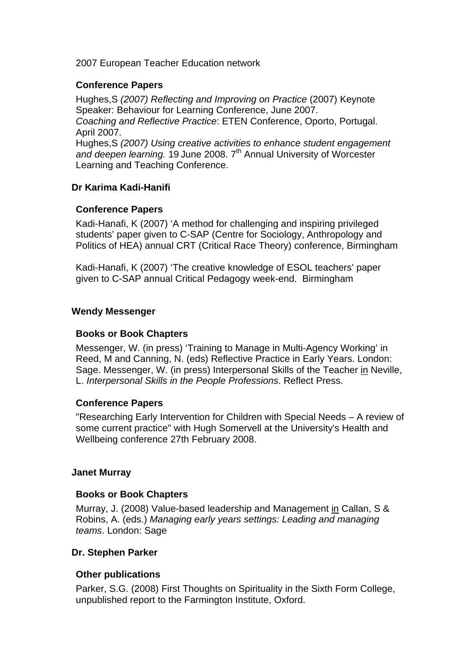2007 European Teacher Education network

## **Conference Papers**

Hughes,S *(2007) Reflecting and Improving on Practice* (2007) Keynote Speaker: Behaviour for Learning Conference, June 2007. *Coaching and Reflective Practice*: ETEN Conference, Oporto, Portugal. April 2007. Hughes,S *(2007) Using creative activities to enhance student engagement*  and deepen learning. 19 June 2008. 7<sup>th</sup> Annual University of Worcester Learning and Teaching Conference.

## **Dr Karima Kadi-Hanifi**

### **Conference Papers**

Kadi-Hanafi, K (2007) 'A method for challenging and inspiring privileged students' paper given to C-SAP (Centre for Sociology, Anthropology and Politics of HEA) annual CRT (Critical Race Theory) conference, Birmingham

Kadi-Hanafi, K (2007) 'The creative knowledge of ESOL teachers' paper given to C-SAP annual Critical Pedagogy week-end. Birmingham

### **Wendy Messenger**

### **Books or Book Chapters**

Messenger, W. (in press) 'Training to Manage in Multi-Agency Working' in Reed, M and Canning, N. (eds) Reflective Practice in Early Years. London: Sage. Messenger, W. (in press) Interpersonal Skills of the Teacher in Neville, L. *Interpersonal Skills in the People Professions*. Reflect Press.

#### **Conference Papers**

"Researching Early Intervention for Children with Special Needs – A review of some current practice" with Hugh Somervell at the University's Health and Wellbeing conference 27th February 2008.

#### **Janet Murray**

#### **Books or Book Chapters**

Murray, J. (2008) Value-based leadership and Management in Callan, S & Robins, A. (eds.) *Managing early years settings: Leading and managing teams*. London: Sage

#### **Dr. Stephen Parker**

#### **Other publications**

Parker, S.G. (2008) First Thoughts on Spirituality in the Sixth Form College, unpublished report to the Farmington Institute, Oxford.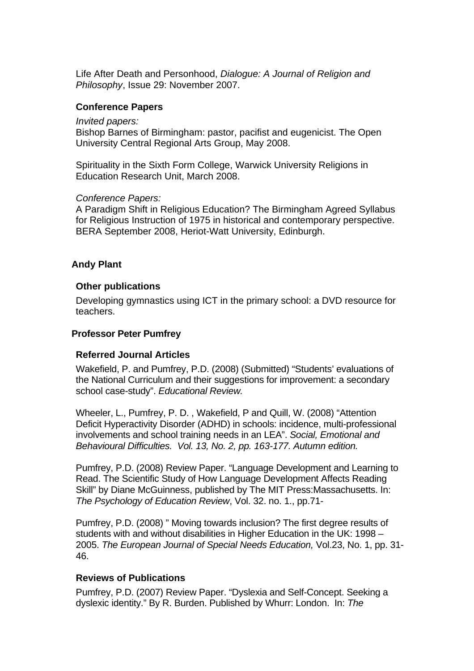Life After Death and Personhood, *Dialogue: A Journal of Religion and Philosophy*, Issue 29: November 2007.

### **Conference Papers**

#### *Invited papers:*

Bishop Barnes of Birmingham: pastor, pacifist and eugenicist. The Open University Central Regional Arts Group, May 2008.

Spirituality in the Sixth Form College, Warwick University Religions in Education Research Unit, March 2008.

#### *Conference Papers:*

A Paradigm Shift in Religious Education? The Birmingham Agreed Syllabus for Religious Instruction of 1975 in historical and contemporary perspective. BERA September 2008, Heriot-Watt University, Edinburgh.

### **Andy Plant**

#### **Other publications**

Developing gymnastics using ICT in the primary school: a DVD resource for teachers.

#### **Professor Peter Pumfrey**

#### **Referred Journal Articles**

Wakefield, P. and Pumfrey, P.D. (2008) (Submitted) "Students' evaluations of the National Curriculum and their suggestions for improvement: a secondary school case-study". *Educational Review.*

Wheeler, L., Pumfrey, P. D. , Wakefield, P and Quill, W. (2008) "Attention Deficit Hyperactivity Disorder (ADHD) in schools: incidence, multi-professional involvements and school training needs in an LEA". *Social, Emotional and Behavioural Difficulties. Vol. 13, No. 2, pp. 163-177. Autumn edition.*

Pumfrey, P.D. (2008) Review Paper. "Language Development and Learning to Read. The Scientific Study of How Language Development Affects Reading Skill" by Diane McGuinness, published by The MIT Press:Massachusetts. In: *The Psychology of Education Review*, Vol. 32. no. 1., pp.71-

Pumfrey, P.D. (2008) " Moving towards inclusion? The first degree results of students with and without disabilities in Higher Education in the UK: 1998 – 2005. *The European Journal of Special Needs Education,* Vol.23, No. 1, pp. 31- 46.

#### **Reviews of Publications**

Pumfrey, P.D. (2007) Review Paper. "Dyslexia and Self-Concept. Seeking a dyslexic identity." By R. Burden. Published by Whurr: London. In: *The*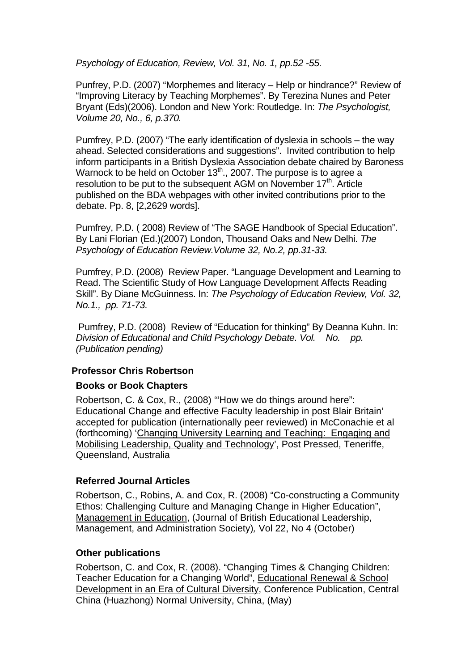*Psychology of Education, Review, Vol. 31, No. 1, pp.52 -55.* 

Punfrey, P.D. (2007) "Morphemes and literacy – Help or hindrance?" Review of "Improving Literacy by Teaching Morphemes". By Terezina Nunes and Peter Bryant (Eds)(2006). London and New York: Routledge. In: *The Psychologist, Volume 20, No., 6, p.370.* 

Pumfrey, P.D. (2007) "The early identification of dyslexia in schools – the way ahead. Selected considerations and suggestions". Invited contribution to help inform participants in a British Dyslexia Association debate chaired by Baroness Warnock to be held on October  $13<sup>th</sup>$ ., 2007. The purpose is to agree a resolution to be put to the subsequent AGM on November  $17<sup>th</sup>$ . Article published on the BDA webpages with other invited contributions prior to the debate. Pp. 8, [2,2629 words].

Pumfrey, P.D. ( 2008) Review of "The SAGE Handbook of Special Education". By Lani Florian (Ed.)(2007) London, Thousand Oaks and New Delhi. *The Psychology of Education Review.Volume 32, No.2, pp.31-33.*

Pumfrey, P.D. (2008) Review Paper. "Language Development and Learning to Read. The Scientific Study of How Language Development Affects Reading Skill". By Diane McGuinness. In: *The Psychology of Education Review, Vol. 32, No.1., pp. 71-73.* 

 Pumfrey, P.D. (2008) Review of "Education for thinking" By Deanna Kuhn. In: *Division of Educational and Child Psychology Debate. Vol. No. pp. (Publication pending)* 

## **Professor Chris Robertson**

#### **Books or Book Chapters**

Robertson, C. & Cox, R., (2008) '"How we do things around here": Educational Change and effective Faculty leadership in post Blair Britain' accepted for publication (internationally peer reviewed) in McConachie et al (forthcoming) 'Changing University Learning and Teaching: Engaging and Mobilising Leadership, Quality and Technology', Post Pressed, Teneriffe, Queensland, Australia

## **Referred Journal Articles**

Robertson, C., Robins, A. and Cox, R. (2008) "Co-constructing a Community Ethos: Challenging Culture and Managing Change in Higher Education", Management in Education, (Journal of British Educational Leadership, Management, and Administration Society)*,* Vol 22, No 4 (October)

## **Other publications**

Robertson, C. and Cox, R. (2008). "Changing Times & Changing Children: Teacher Education for a Changing World", Educational Renewal & School Development in an Era of Cultural Diversity, Conference Publication, Central China (Huazhong) Normal University, China, (May)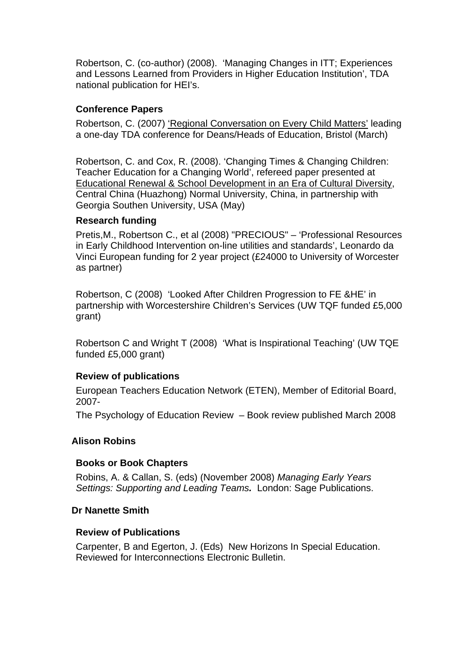Robertson, C. (co-author) (2008). 'Managing Changes in ITT; Experiences and Lessons Learned from Providers in Higher Education Institution', TDA national publication for HEI's.

# **Conference Papers**

Robertson, C. (2007) 'Regional Conversation on Every Child Matters' leading a one-day TDA conference for Deans/Heads of Education, Bristol (March)

Robertson, C. and Cox, R. (2008). 'Changing Times & Changing Children: Teacher Education for a Changing World', refereed paper presented at Educational Renewal & School Development in an Era of Cultural Diversity, Central China (Huazhong) Normal University, China, in partnership with Georgia Southen University, USA (May)

# **Research funding**

Pretis,M., Robertson C., et al (2008) "PRECIOUS" – 'Professional Resources in Early Childhood Intervention on-line utilities and standards', Leonardo da Vinci European funding for 2 year project (£24000 to University of Worcester as partner)

Robertson, C (2008) 'Looked After Children Progression to FE &HE' in partnership with Worcestershire Children's Services (UW TQF funded £5,000 grant)

Robertson C and Wright T (2008) 'What is Inspirational Teaching' (UW TQE funded £5,000 grant)

# **Review of publications**

European Teachers Education Network (ETEN), Member of Editorial Board, 2007-

The Psychology of Education Review – Book review published March 2008

# **Alison Robins**

## **Books or Book Chapters**

Robins, A. & Callan, S. (eds) (November 2008) *Managing Early Years Settings: Supporting and Leading Teams.* London: Sage Publications.

## **Dr Nanette Smith**

## **Review of Publications**

Carpenter, B and Egerton, J. (Eds) New Horizons In Special Education. Reviewed for Interconnections Electronic Bulletin.